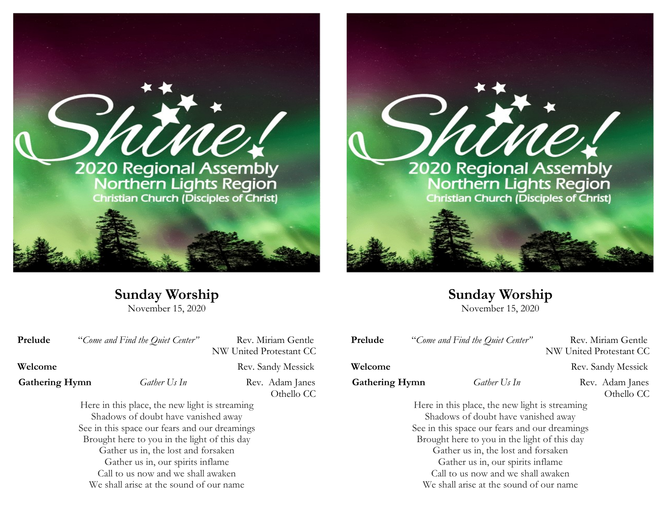



**Sunday Worship**

November 15, 2020

**Prelude** "*Come and Find the Quiet Center*" Rev. Miriam Gentle NW United Protestant CC **Welcome** Rev. Sandy Messick **Gathering Hymn** *Gather Us In* Rev. Adam Janes Othello CC Here in this place, the new light is streaming Shadows of doubt have vanished away See in this space our fears and our dreamings Brought here to you in the light of this day Gather us in, the lost and forsaken Gather us in, our spirits inflame Call to us now and we shall awaken We shall arise at the sound of our name

**Sunday Worship** November 15, 2020

Prelude "Come and Find the Quiet Center" Rev. Miriam Gentle

**Welcome** Rev. Sandy Messick

**Gathering Hymn** *Gather Us In* Rev. Adam Janes

Othello CC

NW United Protestant CC

Here in this place, the new light is streaming Shadows of doubt have vanished away See in this space our fears and our dreamings Brought here to you in the light of this day Gather us in, the lost and forsaken Gather us in, our spirits inflame Call to us now and we shall awaken We shall arise at the sound of our name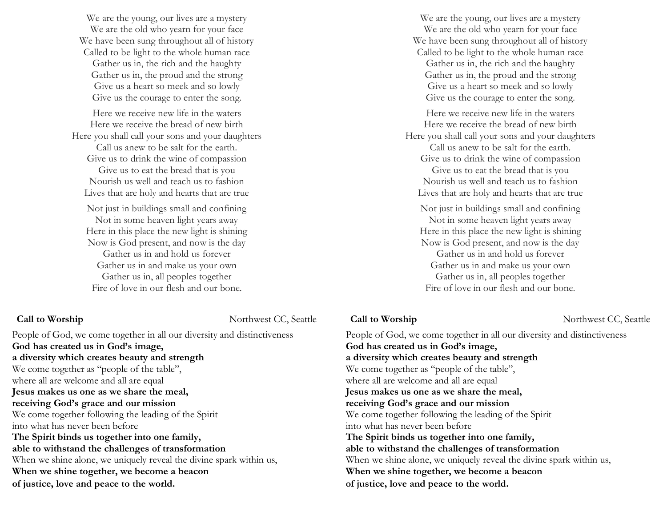We are the young, our lives are a mystery We are the old who yearn for your face We have been sung throughout all of history Called to be light to the whole human race Gather us in, the rich and the haughty Gather us in, the proud and the strong Give us a heart so meek and so lowly Give us the courage to enter the song.

Here we receive new life in the waters Here we receive the bread of new birth Here you shall call your sons and your daughters

Call us anew to be salt for the earth. Give us to drink the wine of compassion Give us to eat the bread that is you Nourish us well and teach us to fashion Lives that are holy and hearts that are true

Not just in buildings small and confining Not in some heaven light years away Here in this place the new light is shining Now is God present, and now is the day Gather us in and hold us forever Gather us in and make us your own Gather us in, all peoples together Fire of love in our flesh and our bone.

### **Call to Worship** Northwest CC, Seattle

People of God, we come together in all our diversity and distinctiveness **God has created us in God's image, a diversity which creates beauty and strength** We come together as "people of the table", where all are welcome and all are equal **Jesus makes us one as we share the meal, receiving God's grace and our mission** We come together following the leading of the Spirit into what has never been before **The Spirit binds us together into one family, able to withstand the challenges of transformation** When we shine alone, we uniquely reveal the divine spark within us, **When we shine together, we become a beacon of justice, love and peace to the world.**

We are the young, our lives are a mystery We are the old who yearn for your face We have been sung throughout all of history Called to be light to the whole human race Gather us in, the rich and the haughty Gather us in, the proud and the strong Give us a heart so meek and so lowly Give us the courage to enter the song.

Here we receive new life in the waters Here we receive the bread of new birth Here you shall call your sons and your daughters

Call us anew to be salt for the earth. Give us to drink the wine of compassion Give us to eat the bread that is you Nourish us well and teach us to fashion

Lives that are holy and hearts that are true

Not just in buildings small and confining Not in some heaven light years away Here in this place the new light is shining Now is God present, and now is the day Gather us in and hold us forever Gather us in and make us your own Gather us in, all peoples together Fire of love in our flesh and our bone.

### **Call to Worship**  Northwest CC, Seattle

People of God, we come together in all our diversity and distinctiveness **God has created us in God's image, a diversity which creates beauty and strength** We come together as "people of the table", where all are welcome and all are equal **Jesus makes us one as we share the meal, receiving God's grace and our mission** We come together following the leading of the Spirit into what has never been before **The Spirit binds us together into one family, able to withstand the challenges of transformation** When we shine alone, we uniquely reveal the divine spark within us, **When we shine together, we become a beacon of justice, love and peace to the world.**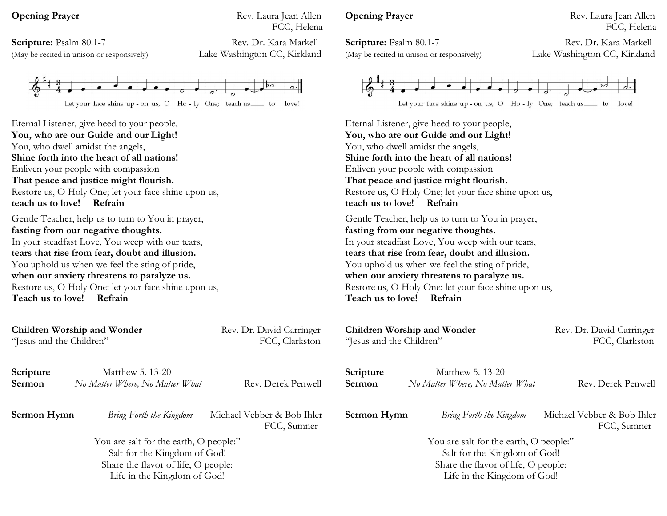(May be recited in unison or responsively) Lake Washington CC, Kirkland

**Opening Prayer** Rev. Laura Jean Allen FCC, Helena

**Scripture:** Psalm 80.1-7 Rev. Dr. Kara Markell



Eternal Listener, give heed to your people, **You, who are our Guide and our Light!** You, who dwell amidst the angels, **Shine forth into the heart of all nations!** Enliven your people with compassion **That peace and justice might flourish.** Restore us, O Holy One; let your face shine upon us, **teach us to love! Refrain** Gentle Teacher, help us to turn to You in prayer, **fasting from our negative thoughts.** In your steadfast Love, You weep with our tears, **tears that rise from fear, doubt and illusion.** You uphold us when we feel the sting of pride, **when our anxiety threatens to paralyze us.** Restore us, O Holy One: let your face shine upon us, **Teach us to love! Refrain**

**Children Worship and Wonder Rev. Dr. David Carringer** "Jesus and the Children" FCC, Clarkston **Scripture** Matthew 5. 13-20 **Sermon** *No Matter Where, No Matter What* Rev. Derek Penwell **Sermon Hymn** *Bring Forth the Kingdom* Michael Vebber & Bob Ihler FCC, Sumner You are salt for the earth, O people:" Salt for the Kingdom of God! Share the flavor of life, O people: Life in the Kingdom of God! **Children Worship and Wonder Rev. Dr. David Carringer** "Jesus and the Children" FCC, Clarkston **Scripture** Matthew 5. 13-20 **Sermon** *No Matter Where, No Matter What* Rev. Derek Penwell **Sermon Hymn** *Bring Forth the Kingdom* Michael Vebber & Bob Ihler FCC, Sumner You are salt for the earth, O people:" Salt for the Kingdom of God! Share the flavor of life, O people: Life in the Kingdom of God!

# **Opening Prayer** Rev. Laura Jean Allen

**Scripture:** Psalm 80.1-7 Rev. Dr. Kara Markell (May be recited in unison or responsively) Lake Washington CC, Kirkland

FCC, Helena



Eternal Listener, give heed to your people, **You, who are our Guide and our Light!** You, who dwell amidst the angels, **Shine forth into the heart of all nations!** Enliven your people with compassion **That peace and justice might flourish.** Restore us, O Holy One; let your face shine upon us, **teach us to love! Refrain** Gentle Teacher, help us to turn to You in prayer, **fasting from our negative thoughts.** In your steadfast Love, You weep with our tears, **tears that rise from fear, doubt and illusion.** You uphold us when we feel the sting of pride, **when our anxiety threatens to paralyze us.** Restore us, O Holy One: let your face shine upon us, **Teach us to love! Refrain**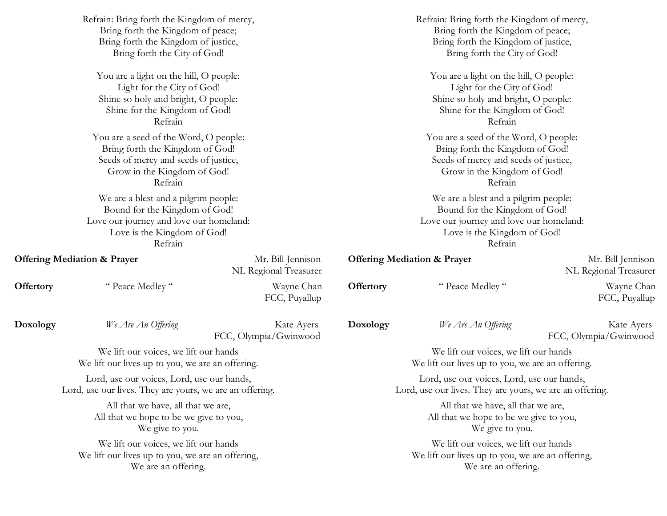|                                                          | Refrain: Bring forth the Kingdom of mercy,       |                                            | Refrain: Bring forth the Kingdom of mercy,<br>Bring forth the Kingdom of peace;<br>Bring forth the Kingdom of justice,<br>Bring forth the City of God!<br>You are a light on the hill, O people:                                              |                                        |                                            |  |  |
|----------------------------------------------------------|--------------------------------------------------|--------------------------------------------|-----------------------------------------------------------------------------------------------------------------------------------------------------------------------------------------------------------------------------------------------|----------------------------------------|--------------------------------------------|--|--|
|                                                          | Bring forth the Kingdom of peace;                |                                            |                                                                                                                                                                                                                                               |                                        |                                            |  |  |
|                                                          | Bring forth the Kingdom of justice,              |                                            |                                                                                                                                                                                                                                               |                                        |                                            |  |  |
|                                                          | Bring forth the City of God!                     |                                            |                                                                                                                                                                                                                                               |                                        |                                            |  |  |
|                                                          | You are a light on the hill, O people:           |                                            |                                                                                                                                                                                                                                               |                                        |                                            |  |  |
| Light for the City of God!                               |                                                  |                                            | Light for the City of God!                                                                                                                                                                                                                    |                                        |                                            |  |  |
|                                                          | Shine so holy and bright, O people:              |                                            | Shine so holy and bright, O people:<br>Shine for the Kingdom of God!<br>Refrain<br>You are a seed of the Word, O people:<br>Bring forth the Kingdom of God!<br>Seeds of mercy and seeds of justice,<br>Grow in the Kingdom of God!<br>Refrain |                                        |                                            |  |  |
|                                                          | Shine for the Kingdom of God!                    |                                            |                                                                                                                                                                                                                                               |                                        |                                            |  |  |
|                                                          | Refrain                                          |                                            |                                                                                                                                                                                                                                               |                                        |                                            |  |  |
|                                                          | You are a seed of the Word, O people:            |                                            |                                                                                                                                                                                                                                               |                                        |                                            |  |  |
|                                                          | Bring forth the Kingdom of God!                  |                                            |                                                                                                                                                                                                                                               |                                        |                                            |  |  |
|                                                          | Seeds of mercy and seeds of justice,             |                                            |                                                                                                                                                                                                                                               |                                        |                                            |  |  |
|                                                          | Grow in the Kingdom of God!                      |                                            |                                                                                                                                                                                                                                               |                                        |                                            |  |  |
|                                                          | Refrain                                          |                                            |                                                                                                                                                                                                                                               |                                        |                                            |  |  |
| We are a blest and a pilgrim people:                     |                                                  |                                            | We are a blest and a pilgrim people:                                                                                                                                                                                                          |                                        |                                            |  |  |
|                                                          | Bound for the Kingdom of God!                    |                                            | Bound for the Kingdom of God!<br>Love our journey and love our homeland:                                                                                                                                                                      |                                        |                                            |  |  |
|                                                          | Love our journey and love our homeland:          |                                            |                                                                                                                                                                                                                                               |                                        |                                            |  |  |
| Love is the Kingdom of God!                              |                                                  |                                            |                                                                                                                                                                                                                                               | Love is the Kingdom of God!            |                                            |  |  |
|                                                          | Refrain                                          |                                            |                                                                                                                                                                                                                                               | Refrain                                |                                            |  |  |
| <b>Offering Mediation &amp; Prayer</b>                   |                                                  | Mr. Bill Jennison<br>NL Regional Treasurer | <b>Offering Mediation &amp; Prayer</b>                                                                                                                                                                                                        |                                        | Mr. Bill Jennison<br>NL Regional Treasurer |  |  |
| Offertory                                                | " Peace Medley"                                  | Wayne Chan<br>FCC, Puyallup                | <b>Offertory</b>                                                                                                                                                                                                                              | " Peace Medley"                        | Wayne Chan<br>FCC, Puyallup                |  |  |
| Doxology                                                 | We Are An Offering                               | Kate Ayers<br>FCC, Olympia/Gwinwood        | Doxology                                                                                                                                                                                                                                      | We Are An Offering                     | Kate Ayers<br>FCC, Olympia/Gwinwood        |  |  |
|                                                          | We lift our voices, we lift our hands            |                                            | We lift our voices, we lift our hands                                                                                                                                                                                                         |                                        |                                            |  |  |
|                                                          | We lift our lives up to you, we are an offering. |                                            | We lift our lives up to you, we are an offering.                                                                                                                                                                                              |                                        |                                            |  |  |
|                                                          | Lord, use our voices, Lord, use our hands,       |                                            | Lord, use our voices, Lord, use our hands,                                                                                                                                                                                                    |                                        |                                            |  |  |
| Lord, use our lives. They are yours, we are an offering. |                                                  |                                            | Lord, use our lives. They are yours, we are an offering.                                                                                                                                                                                      |                                        |                                            |  |  |
|                                                          | All that we have, all that we are,               |                                            | All that we have, all that we are,                                                                                                                                                                                                            |                                        |                                            |  |  |
|                                                          | All that we hope to be we give to you,           |                                            |                                                                                                                                                                                                                                               | All that we hope to be we give to you, |                                            |  |  |
|                                                          | We give to you.                                  |                                            | We give to you.                                                                                                                                                                                                                               |                                        |                                            |  |  |
|                                                          | We lift our voices, we lift our hands            |                                            | We lift our voices, we lift our hands                                                                                                                                                                                                         |                                        |                                            |  |  |
| We lift our lives up to you, we are an offering,         |                                                  |                                            | We lift our lives up to you, we are an offering,                                                                                                                                                                                              |                                        |                                            |  |  |
|                                                          | We are an offering.                              |                                            | We are an offering.                                                                                                                                                                                                                           |                                        |                                            |  |  |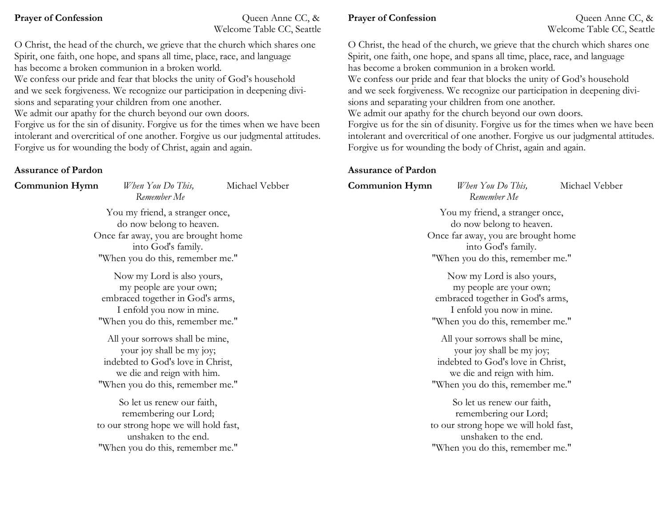**Prayer of Confession** Queen Anne CC, & Welcome Table CC, Seattle

O Christ, the head of the church, we grieve that the church which shares one Spirit, one faith, one hope, and spans all time, place, race, and language has become a broken communion in a broken world.

We confess our pride and fear that blocks the unity of God's household and we seek forgiveness. We recognize our participation in deepening divisions and separating your children from one another.

We admit our apathy for the church beyond our own doors.

Forgive us for the sin of disunity. Forgive us for the times when we have been intolerant and overcritical of one another. Forgive us our judgmental attitudes. Forgive us for wounding the body of Christ, again and again.

# **Assurance of Pardon**

**Communion Hymn** *When You Do This,* Michael Vebber *Remember Me*

> You my friend, a stranger once, do now belong to heaven. Once far away, you are brought home into God's family. "When you do this, remember me."

Now my Lord is also yours, my people are your own; embraced together in God's arms, I enfold you now in mine. "When you do this, remember me."

All your sorrows shall be mine, your joy shall be my joy; indebted to God's love in Christ, we die and reign with him. "When you do this, remember me."

So let us renew our faith, remembering our Lord; to our strong hope we will hold fast, unshaken to the end. "When you do this, remember me."

## **Prayer of Confession** Queen Anne CC, &

Welcome Table CC, Seattle

O Christ, the head of the church, we grieve that the church which shares one Spirit, one faith, one hope, and spans all time, place, race, and language has become a broken communion in a broken world. We confess our pride and fear that blocks the unity of God's household and we seek forgiveness. We recognize our participation in deepening divisions and separating your children from one another. We admit our apathy for the church beyond our own doors. Forgive us for the sin of disunity. Forgive us for the times when we have been intolerant and overcritical of one another. Forgive us our judgmental attitudes. Forgive us for wounding the body of Christ, again and again.

## **Assurance of Pardon**

**Communion Hymn** *When You Do This,* Michael Vebber

You my friend, a stranger once, do now belong to heaven. Once far away, you are brought home into God's family. "When you do this, remember me."

*Remember Me*

Now my Lord is also yours, my people are your own; embraced together in God's arms, I enfold you now in mine. "When you do this, remember me."

All your sorrows shall be mine, your joy shall be my joy; indebted to God's love in Christ, we die and reign with him. "When you do this, remember me."

So let us renew our faith, remembering our Lord; to our strong hope we will hold fast, unshaken to the end. "When you do this, remember me."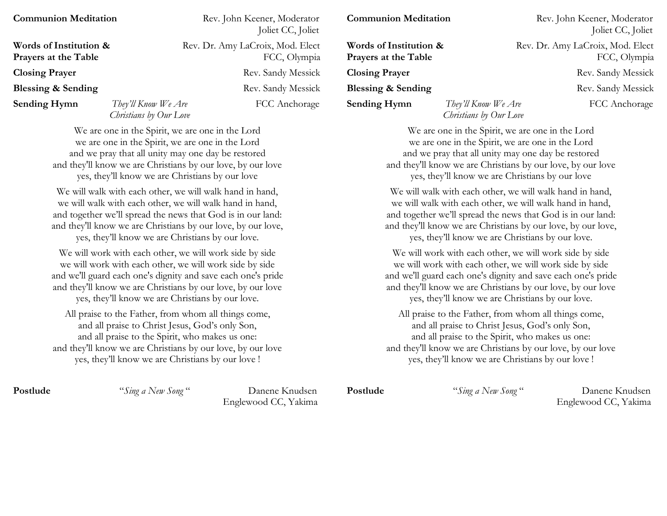| <b>Communion Meditation</b>                    |                                               | Rev. John Keener, Moderator<br>Joliet CC, Joliet | <b>Communion Meditation</b>                    |                                               | Rev. John Keener, Moderator<br>Joliet CC, Joliet |
|------------------------------------------------|-----------------------------------------------|--------------------------------------------------|------------------------------------------------|-----------------------------------------------|--------------------------------------------------|
| Words of Institution &<br>Prayers at the Table |                                               | Rev. Dr. Amy LaCroix, Mod. Elect<br>FCC, Olympia | Words of Institution &<br>Prayers at the Table |                                               | Rev. Dr. Amy LaCroix, Mod. Elect<br>FCC, Olympia |
| <b>Closing Prayer</b>                          |                                               | Rev. Sandy Messick                               | <b>Closing Prayer</b>                          |                                               | Rev. Sandy Messick                               |
| Blessing & Sending                             |                                               | Rev. Sandy Messick                               | <b>Blessing &amp; Sending</b>                  |                                               | Rev. Sandy Messick                               |
| <b>Sending Hymn</b>                            | They'll Know We Are<br>Christians by Our Love | FCC Anchorage                                    | <b>Sending Hymn</b>                            | They'll Know We Are<br>Christians by Our Love | FCC Anchorage                                    |

We are one in the Spirit, we are one in the Lord we are one in the Spirit, we are one in the Lord and we pray that all unity may one day be restored and they'll know we are Christians by our love, by our love yes, they'll know we are Christians by our love

We will walk with each other, we will walk hand in hand, we will walk with each other, we will walk hand in hand, and together we'll spread the news that God is in our land: and they'll know we are Christians by our love, by our love, yes, they'll know we are Christians by our love.

We will work with each other, we will work side by side we will work with each other, we will work side by side and we'll guard each one's dignity and save each one's pride and they'll know we are Christians by our love, by our love yes, they'll know we are Christians by our love.

All praise to the Father, from whom all things come, and all praise to Christ Jesus, God's only Son, and all praise to the Spirit, who makes us one: and they'll know we are Christians by our love, by our love yes, they'll know we are Christians by our love !

**Postlude** "*Sing a New Song* " Danene Knudsen Englewood CC, Yakima

We are one in the Spirit, we are one in the Lord we are one in the Spirit, we are one in the Lord and we pray that all unity may one day be restored and they'll know we are Christians by our love, by our love yes, they'll know we are Christians by our love We will walk with each other, we will walk hand in hand, we will walk with each other, we will walk hand in hand, and together we'll spread the news that God is in our land: and they'll know we are Christians by our love, by our love, yes, they'll know we are Christians by our love. We will work with each other, we will work side by side we will work with each other, we will work side by side and we'll guard each one's dignity and save each one's pride and they'll know we are Christians by our love, by our love yes, they'll know we are Christians by our love. All praise to the Father, from whom all things come, and all praise to Christ Jesus, God's only Son, and all praise to the Spirit, who makes us one: and they'll know we are Christians by our love, by our love yes, they'll know we are Christians by our love !

**Postlude** "*Sing a New Song* " Danene Knudsen Englewood CC, Yakima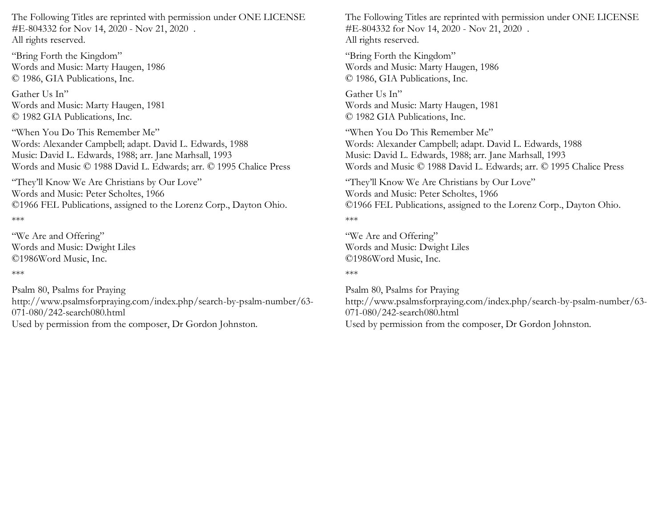The Following Titles are reprinted with permission under ONE LICENSE #E-804332 for Nov 14, 2020 - Nov 21, 2020 . All rights reserved.

"Bring Forth the Kingdom" Words and Music: Marty Haugen, 1986 © 1986, GIA Publications, Inc.

Gather Us In" Words and Music: Marty Haugen, 1981 © 1982 GIA Publications, Inc.

"When You Do This Remember Me" Words: Alexander Campbell; adapt. David L. Edwards, 1988 Music: David L. Edwards, 1988; arr. Jane Marhsall, 1993 Words and Music © 1988 David L. Edwards; arr. © 1995 Chalice Press

"They'll Know We Are Christians by Our Love" Words and Music: Peter Scholtes, 1966 ©1966 FEL Publications, assigned to the Lorenz Corp., Dayton Ohio.

\*\*\*

"We Are and Offering" Words and Music: Dwight Liles ©1986Word Music, Inc.

## \*\*\*

Psalm 80, Psalms for Praying http://www.psalmsforpraying.com/index.php/search-by-psalm-number/63- 071-080/242-search080.html Used by permission from the composer, Dr Gordon Johnston.

The Following Titles are reprinted with permission under ONE LICENSE #E-804332 for Nov 14, 2020 - Nov 21, 2020 . All rights reserved.

"Bring Forth the Kingdom" Words and Music: Marty Haugen, 1986 © 1986, GIA Publications, Inc.

Gather Us In" Words and Music: Marty Haugen, 1981 © 1982 GIA Publications, Inc.

"When You Do This Remember Me" Words: Alexander Campbell; adapt. David L. Edwards, 1988 Music: David L. Edwards, 1988; arr. Jane Marhsall, 1993 Words and Music © 1988 David L. Edwards; arr. © 1995 Chalice Press

"They'll Know We Are Christians by Our Love" Words and Music: Peter Scholtes, 1966 ©1966 FEL Publications, assigned to the Lorenz Corp., Dayton Ohio.

\*\*\*

"We Are and Offering" Words and Music: Dwight Liles ©1986Word Music, Inc.

## \*\*\*

Psalm 80, Psalms for Praying http://www.psalmsforpraying.com/index.php/search-by-psalm-number/63- 071-080/242-search080.html Used by permission from the composer, Dr Gordon Johnston.